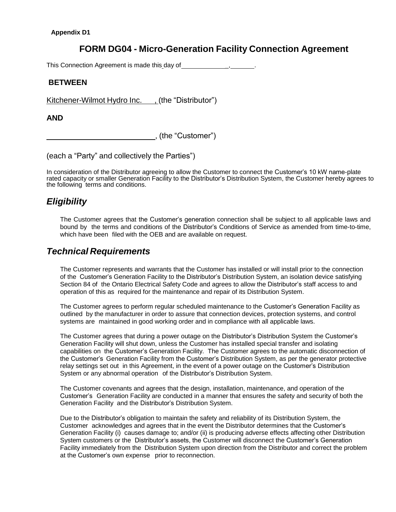# **FORM DG04 - Micro-Generation Facility Connection Agreement**

This Connection Agreement is made this day of \_, .

### **BETWEEN**

Kitchener-Wilmot Hydro Inc. , (the "Distributor")

#### **AND**

, (the "Customer")

(each a "Party" and collectively the Parties")

In consideration of the Distributor agreeing to allow the Customer to connect the Customer's 10 kW name-plate rated capacity or smaller Generation Facility to the Distributor's Distribution System, the Customer hereby agrees to the following terms and conditions.

# *Eligibility*

The Customer agrees that the Customer's generation connection shall be subject to all applicable laws and bound by the terms and conditions of the Distributor's Conditions of Service as amended from time-to-time, which have been filed with the OEB and are available on request.

### *Technical Requirements*

The Customer represents and warrants that the Customer has installed or will install prior to the connection of the Customer's Generation Facility to the Distributor's Distribution System, an isolation device satisfying Section 84 of the Ontario Electrical Safety Code and agrees to allow the Distributor's staff access to and operation of this as required for the maintenance and repair of its Distribution System.

The Customer agrees to perform regular scheduled maintenance to the Customer's Generation Facility as outlined by the manufacturer in order to assure that connection devices, protection systems, and control systems are maintained in good working order and in compliance with all applicable laws.

The Customer agrees that during a power outage on the Distributor's Distribution System the Customer's Generation Facility will shut down, unless the Customer has installed special transfer and isolating capabilities on the Customer's Generation Facility. The Customer agrees to the automatic disconnection of the Customer's Generation Facility from the Customer's Distribution System, as per the generator protective relay settings set out in this Agreement, in the event of a power outage on the Customer's Distribution System or any abnormal operation of the Distributor's Distribution System.

The Customer covenants and agrees that the design, installation, maintenance, and operation of the Customer's Generation Facility are conducted in a manner that ensures the safety and security of both the Generation Facility and the Distributor's Distribution System.

Due to the Distributor's obligation to maintain the safety and reliability of its Distribution System, the Customer acknowledges and agrees that in the event the Distributor determines that the Customer's Generation Facility (i) causes damage to; and/or (ii) is producing adverse effects affecting other Distribution System customers or the Distributor's assets, the Customer will disconnect the Customer's Generation Facility immediately from the Distribution System upon direction from the Distributor and correct the problem at the Customer's own expense prior to reconnection.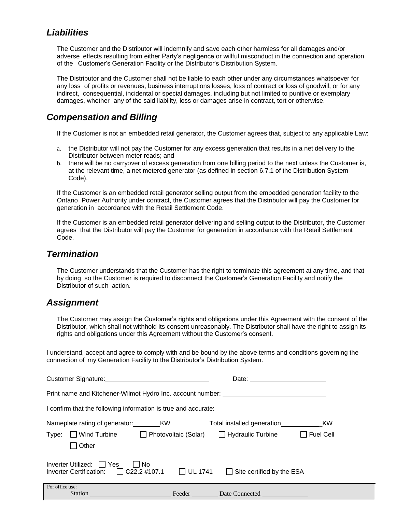# *Liabilities*

The Customer and the Distributor will indemnify and save each other harmless for all damages and/or adverse effects resulting from either Party's negligence or willful misconduct in the connection and operation of the Customer's Generation Facility or the Distributor's Distribution System.

The Distributor and the Customer shall not be liable to each other under any circumstances whatsoever for any loss of profits or revenues, business interruptions losses, loss of contract or loss of goodwill, or for any indirect, consequential, incidental or special damages, including but not limited to punitive or exemplary damages, whether any of the said liability, loss or damages arise in contract, tort or otherwise.

# *Compensation and Billing*

If the Customer is not an embedded retail generator, the Customer agrees that, subject to any applicable Law:

- a. the Distributor will not pay the Customer for any excess generation that results in a net delivery to the Distributor between meter reads; and
- b. there will be no carryover of excess generation from one billing period to the next unless the Customer is, at the relevant time, a net metered generator (as defined in section 6.7.1 of the Distribution System Code).

If the Customer is an embedded retail generator selling output from the embedded generation facility to the Ontario Power Authority under contract, the Customer agrees that the Distributor will pay the Customer for generation in accordance with the Retail Settlement Code.

If the Customer is an embedded retail generator delivering and selling output to the Distributor, the Customer agrees that the Distributor will pay the Customer for generation in accordance with the Retail Settlement Code.

### *Termination*

The Customer understands that the Customer has the right to terminate this agreement at any time, and that by doing so the Customer is required to disconnect the Customer's Generation Facility and notify the Distributor of such action.

### *Assignment*

The Customer may assign the Customer's rights and obligations under this Agreement with the consent of the Distributor, which shall not withhold its consent unreasonably. The Distributor shall have the right to assign its rights and obligations under this Agreement without the Customer's consent.

I understand, accept and agree to comply with and be bound by the above terms and conditions governing the connection of my Generation Facility to the Distributor's Distribution System.

| Customer Signature:<br><u>Customer Signature:</u>                                                                              |        | Date:                                                  |                               |  |  |  |  |
|--------------------------------------------------------------------------------------------------------------------------------|--------|--------------------------------------------------------|-------------------------------|--|--|--|--|
| Print name and Kitchener-Wilmot Hydro Inc. account number:                                                                     |        |                                                        |                               |  |  |  |  |
| I confirm that the following information is true and accurate:                                                                 |        |                                                        |                               |  |  |  |  |
| Nameplate rating of generator: KW<br>$\Box$ Wind Turbine $\Box$ Photovoltaic (Solar)<br>Type:<br>Other                         |        | Total installed generation<br>$\Box$ Hydraulic Turbine | <b>KW</b><br>$\Box$ Fuel Cell |  |  |  |  |
| Inverter Utilized:   Yes<br>No.<br>Inverter Certification: $\Box$ C22.2 #107.1 $\Box$ UL 1741 $\Box$ Site certified by the ESA |        |                                                        |                               |  |  |  |  |
| For office use:<br><b>Station</b>                                                                                              | Feeder | Date Connected                                         |                               |  |  |  |  |